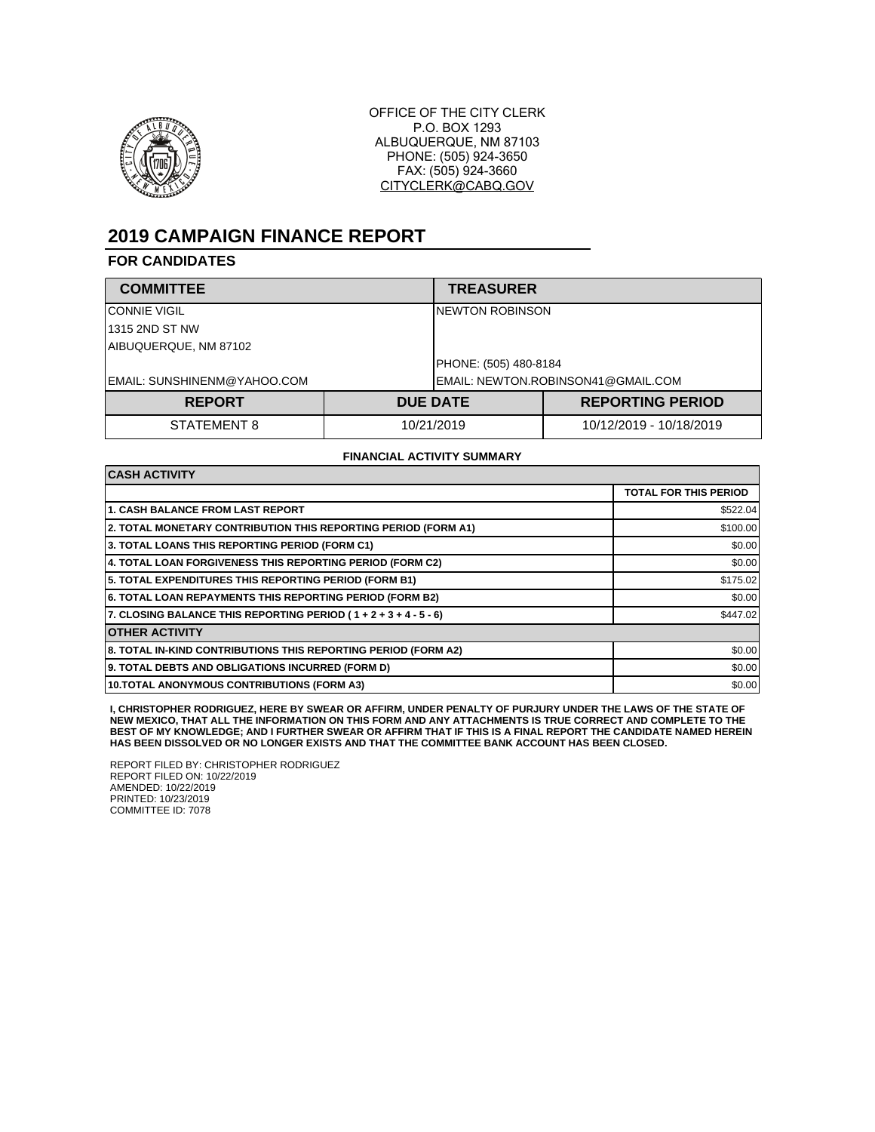

OFFICE OF THE CITY CLERK P.O. BOX 1293 ALBUQUERQUE, NM 87103 PHONE: (505) 924-3650 FAX: (505) 924-3660 CITYCLERK@CABQ.GOV

# **2019 CAMPAIGN FINANCE REPORT**

### **FOR CANDIDATES**

| <b>COMMITTEE</b>            |            | <b>TREASURER</b>                   |                         |  |
|-----------------------------|------------|------------------------------------|-------------------------|--|
| <b>CONNIE VIGIL</b>         |            | INEWTON ROBINSON                   |                         |  |
| 1315 2ND ST NW              |            |                                    |                         |  |
| AIBUQUERQUE, NM 87102       |            |                                    |                         |  |
|                             |            | PHONE: (505) 480-8184              |                         |  |
| EMAIL: SUNSHINENM@YAHOO.COM |            | EMAIL: NEWTON.ROBINSON41@GMAIL.COM |                         |  |
| <b>REPORT</b>               |            | <b>DUE DATE</b>                    | <b>REPORTING PERIOD</b> |  |
| STATEMENT 8                 | 10/21/2019 |                                    | 10/12/2019 - 10/18/2019 |  |

#### **FINANCIAL ACTIVITY SUMMARY**

| <b>CASH ACTIVITY</b>                                                 |                              |  |  |
|----------------------------------------------------------------------|------------------------------|--|--|
|                                                                      | <b>TOTAL FOR THIS PERIOD</b> |  |  |
| <b>1. CASH BALANCE FROM LAST REPORT</b>                              | \$522.04                     |  |  |
| 2. TOTAL MONETARY CONTRIBUTION THIS REPORTING PERIOD (FORM A1)       | \$100.00                     |  |  |
| 3. TOTAL LOANS THIS REPORTING PERIOD (FORM C1)                       | \$0.00                       |  |  |
| 4. TOTAL LOAN FORGIVENESS THIS REPORTING PERIOD (FORM C2)            | \$0.00                       |  |  |
| 5. TOTAL EXPENDITURES THIS REPORTING PERIOD (FORM B1)                | \$175.02                     |  |  |
| 6. TOTAL LOAN REPAYMENTS THIS REPORTING PERIOD (FORM B2)             | \$0.00                       |  |  |
| 7. CLOSING BALANCE THIS REPORTING PERIOD ( $1 + 2 + 3 + 4 - 5 - 6$ ) | \$447.02                     |  |  |
| <b>OTHER ACTIVITY</b>                                                |                              |  |  |
| 8. TOTAL IN-KIND CONTRIBUTIONS THIS REPORTING PERIOD (FORM A2)       | \$0.00                       |  |  |
| 9. TOTAL DEBTS AND OBLIGATIONS INCURRED (FORM D)                     | \$0.00                       |  |  |
| 10. TOTAL ANONYMOUS CONTRIBUTIONS (FORM A3)                          | \$0.00                       |  |  |

I, CHRISTOPHER RODRIGUEZ, HERE BY SWEAR OR AFFIRM, UNDER PENALTY OF PURJURY UNDER THE LAWS OF THE STATE OF<br>NEW MEXICO, THAT ALL THE INFORMATION ON THIS FORM AND ANY ATTACHMENTS IS TRUE CORRECT AND COMPLETE TO THE **BEST OF MY KNOWLEDGE; AND I FURTHER SWEAR OR AFFIRM THAT IF THIS IS A FINAL REPORT THE CANDIDATE NAMED HEREIN HAS BEEN DISSOLVED OR NO LONGER EXISTS AND THAT THE COMMITTEE BANK ACCOUNT HAS BEEN CLOSED.**

REPORT FILED BY: CHRISTOPHER RODRIGUEZ REPORT FILED ON: 10/22/2019 AMENDED: 10/22/2019 PRINTED: 10/23/2019 COMMITTEE ID: 7078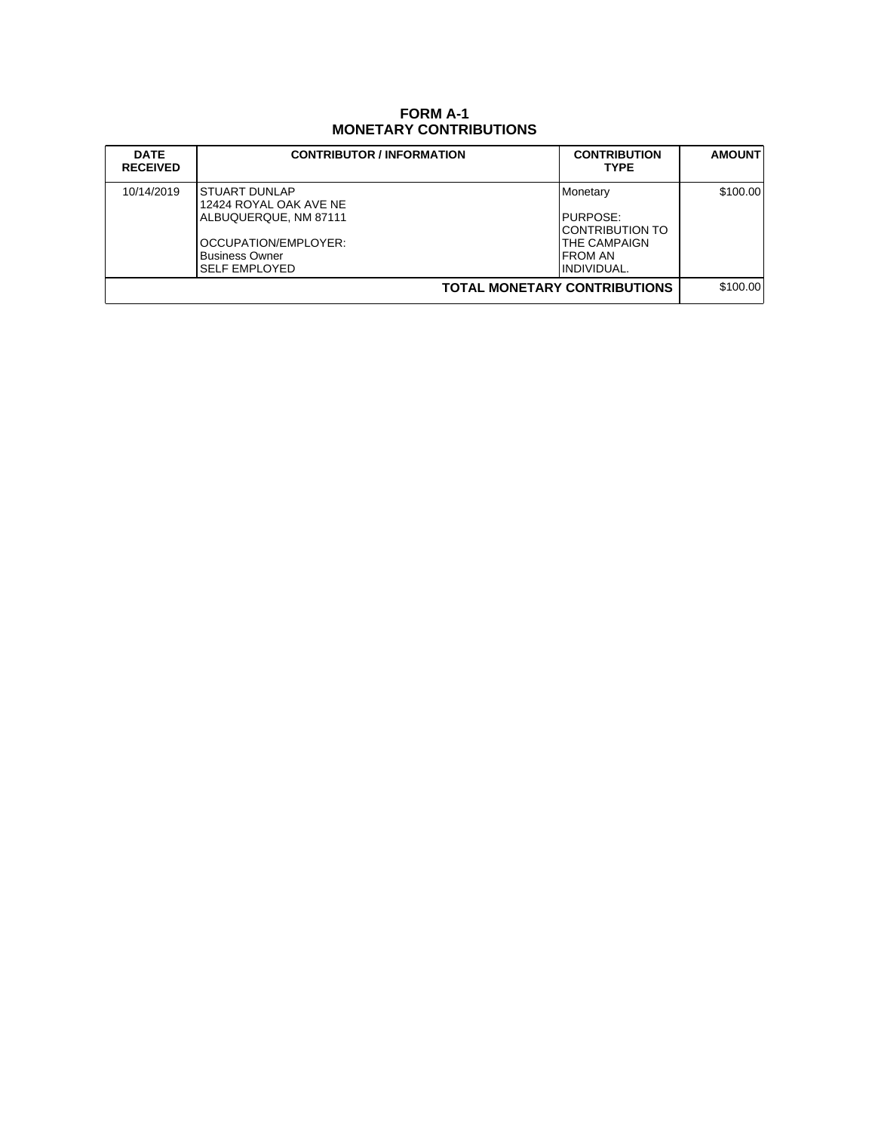## **FORM A-1 MONETARY CONTRIBUTIONS**

| <b>DATE</b><br><b>RECEIVED</b>      | <b>CONTRIBUTOR / INFORMATION</b>                                                                                                                 | <b>CONTRIBUTION</b><br><b>TYPE</b>                                                                | <b>AMOUNT</b> |
|-------------------------------------|--------------------------------------------------------------------------------------------------------------------------------------------------|---------------------------------------------------------------------------------------------------|---------------|
| 10/14/2019                          | <b>STUART DUNLAP</b><br>12424 ROYAL OAK AVE NE<br>ALBUQUERQUE, NM 87111<br>OCCUPATION/EMPLOYER:<br><b>Business Owner</b><br><b>SELF EMPLOYED</b> | <b>Monetary</b><br>PURPOSE:<br>ICONTRIBUTION TO<br><b>THE CAMPAIGN</b><br>IFROM AN<br>INDIVIDUAL. | \$100.00      |
| <b>TOTAL MONETARY CONTRIBUTIONS</b> |                                                                                                                                                  |                                                                                                   | \$100.00      |